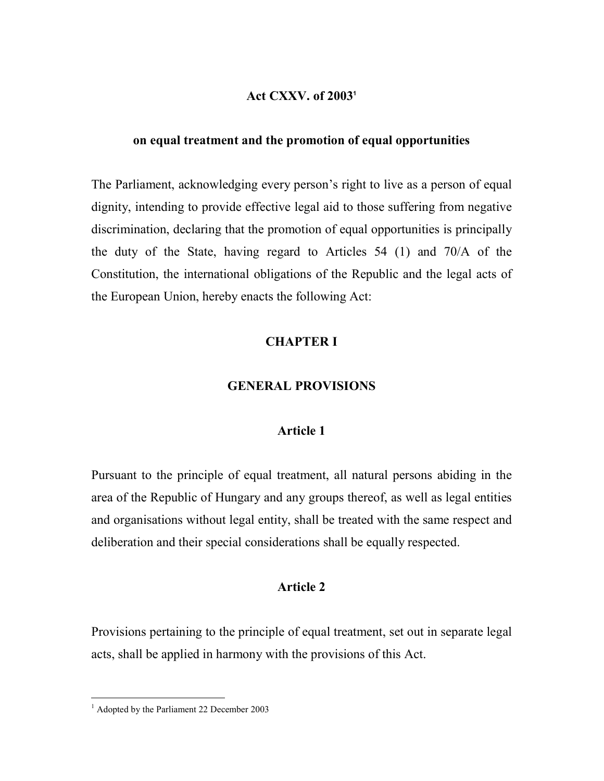#### Act CXXV. of 2003<sup>1</sup>

## on equal treatment and the promotion of equal opportunities

The Parliament, acknowledging every person's right to live as a person of equal dignity, intending to provide effective legal aid to those suffering from negative discrimination, declaring that the promotion of equal opportunities is principally the duty of the State, having regard to Articles 54 (1) and 70/A of the Constitution, the international obligations of the Republic and the legal acts of the European Union, hereby enacts the following Act:

## CHAPTER I

#### GENERAL PROVISIONS

## Article 1

Pursuant to the principle of equal treatment, all natural persons abiding in the area of the Republic of Hungary and any groups thereof, as well as legal entities and organisations without legal entity, shall be treated with the same respect and deliberation and their special considerations shall be equally respected.

## Article 2

Provisions pertaining to the principle of equal treatment, set out in separate legal acts, shall be applied in harmony with the provisions of this Act.

 1 Adopted by the Parliament 22 December 2003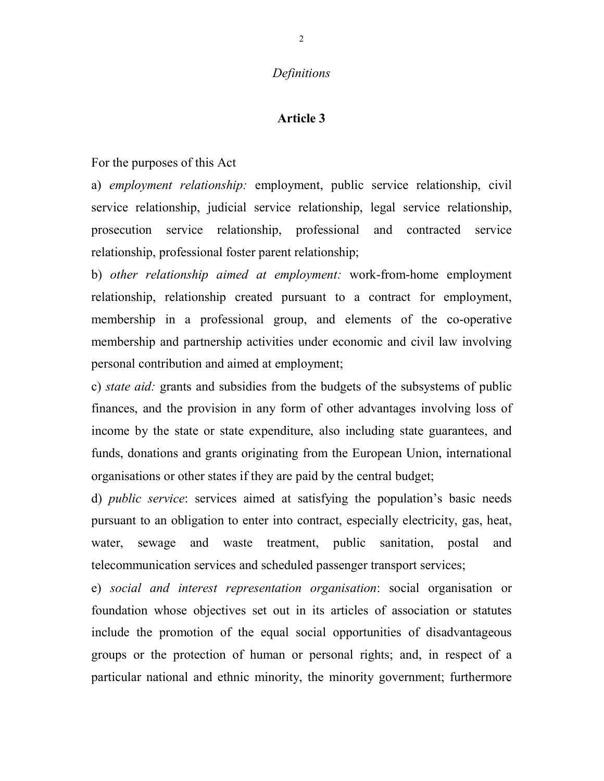#### **Definitions**

#### Article 3

For the purposes of this Act

a) employment relationship: employment, public service relationship, civil service relationship, judicial service relationship, legal service relationship, prosecution service relationship, professional and contracted service relationship, professional foster parent relationship;

b) other relationship aimed at employment: work-from-home employment relationship, relationship created pursuant to a contract for employment, membership in a professional group, and elements of the co-operative membership and partnership activities under economic and civil law involving personal contribution and aimed at employment;

c) state aid: grants and subsidies from the budgets of the subsystems of public finances, and the provision in any form of other advantages involving loss of income by the state or state expenditure, also including state guarantees, and funds, donations and grants originating from the European Union, international organisations or other states if they are paid by the central budget;

d) public service: services aimed at satisfying the population's basic needs pursuant to an obligation to enter into contract, especially electricity, gas, heat, water, sewage and waste treatment, public sanitation, postal and telecommunication services and scheduled passenger transport services;

e) social and interest representation organisation: social organisation or foundation whose objectives set out in its articles of association or statutes include the promotion of the equal social opportunities of disadvantageous groups or the protection of human or personal rights; and, in respect of a particular national and ethnic minority, the minority government; furthermore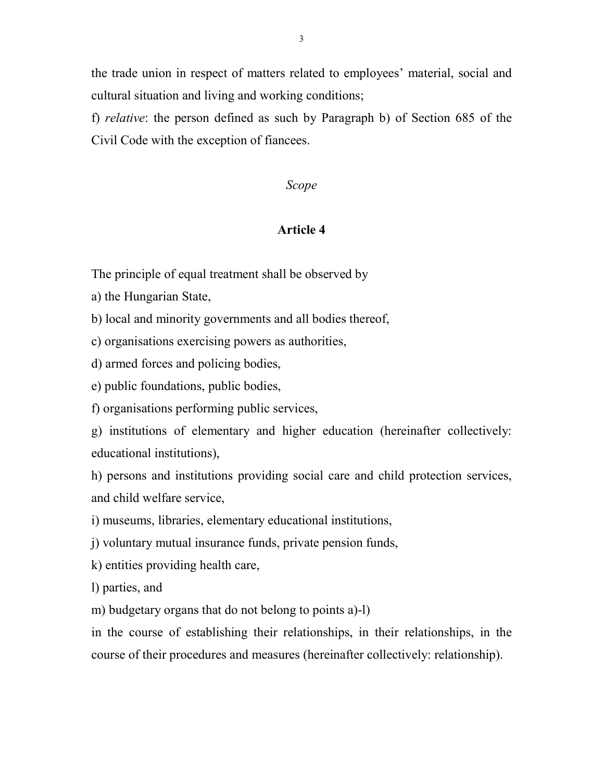the trade union in respect of matters related to employees' material, social and cultural situation and living and working conditions;

f) relative: the person defined as such by Paragraph b) of Section 685 of the Civil Code with the exception of fiancees.

## Scope

## Article 4

The principle of equal treatment shall be observed by

a) the Hungarian State,

b) local and minority governments and all bodies thereof,

c) organisations exercising powers as authorities,

d) armed forces and policing bodies,

e) public foundations, public bodies,

f) organisations performing public services,

g) institutions of elementary and higher education (hereinafter collectively: educational institutions),

h) persons and institutions providing social care and child protection services, and child welfare service,

i) museums, libraries, elementary educational institutions,

j) voluntary mutual insurance funds, private pension funds,

k) entities providing health care,

l) parties, and

m) budgetary organs that do not belong to points a)-l)

in the course of establishing their relationships, in their relationships, in the course of their procedures and measures (hereinafter collectively: relationship).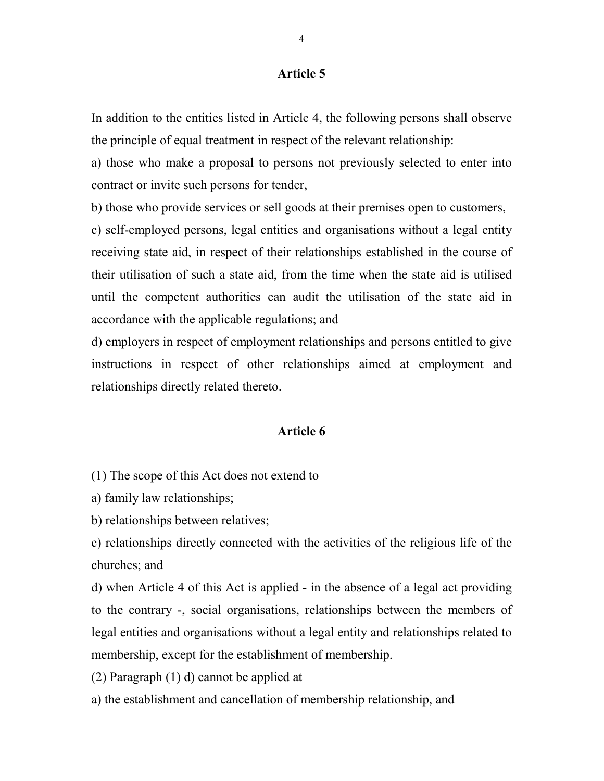In addition to the entities listed in Article 4, the following persons shall observe the principle of equal treatment in respect of the relevant relationship:

a) those who make a proposal to persons not previously selected to enter into contract or invite such persons for tender,

b) those who provide services or sell goods at their premises open to customers, c) self-employed persons, legal entities and organisations without a legal entity receiving state aid, in respect of their relationships established in the course of their utilisation of such a state aid, from the time when the state aid is utilised until the competent authorities can audit the utilisation of the state aid in accordance with the applicable regulations; and

d) employers in respect of employment relationships and persons entitled to give instructions in respect of other relationships aimed at employment and relationships directly related thereto.

#### Article 6

(1) The scope of this Act does not extend to

a) family law relationships;

b) relationships between relatives;

c) relationships directly connected with the activities of the religious life of the churches; and

d) when Article 4 of this Act is applied - in the absence of a legal act providing to the contrary -, social organisations, relationships between the members of legal entities and organisations without a legal entity and relationships related to membership, except for the establishment of membership.

(2) Paragraph (1) d) cannot be applied at

a) the establishment and cancellation of membership relationship, and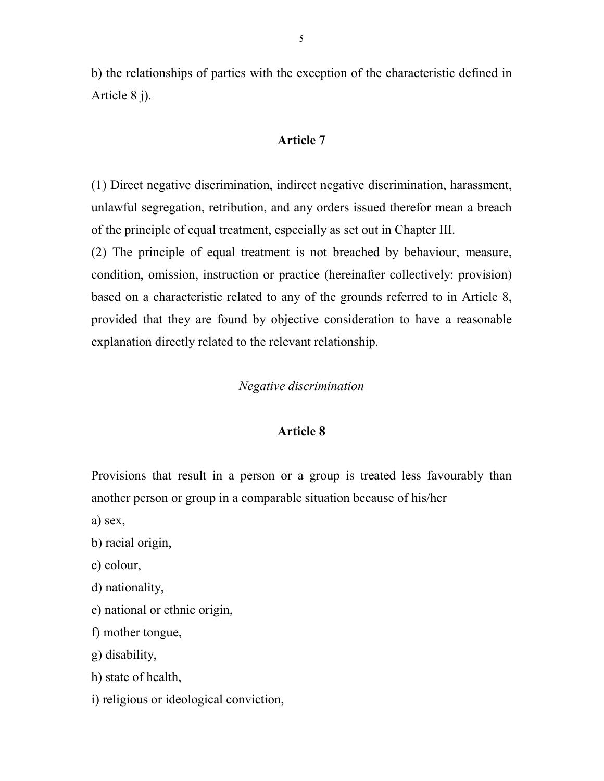b) the relationships of parties with the exception of the characteristic defined in Article 8 j).

## Article 7

(1) Direct negative discrimination, indirect negative discrimination, harassment, unlawful segregation, retribution, and any orders issued therefor mean a breach of the principle of equal treatment, especially as set out in Chapter III.

(2) The principle of equal treatment is not breached by behaviour, measure, condition, omission, instruction or practice (hereinafter collectively: provision) based on a characteristic related to any of the grounds referred to in Article 8, provided that they are found by objective consideration to have a reasonable explanation directly related to the relevant relationship.

### Negative discrimination

#### Article 8

Provisions that result in a person or a group is treated less favourably than another person or group in a comparable situation because of his/her

a) sex,

b) racial origin,

c) colour,

d) nationality,

e) national or ethnic origin,

f) mother tongue,

g) disability,

h) state of health,

i) religious or ideological conviction,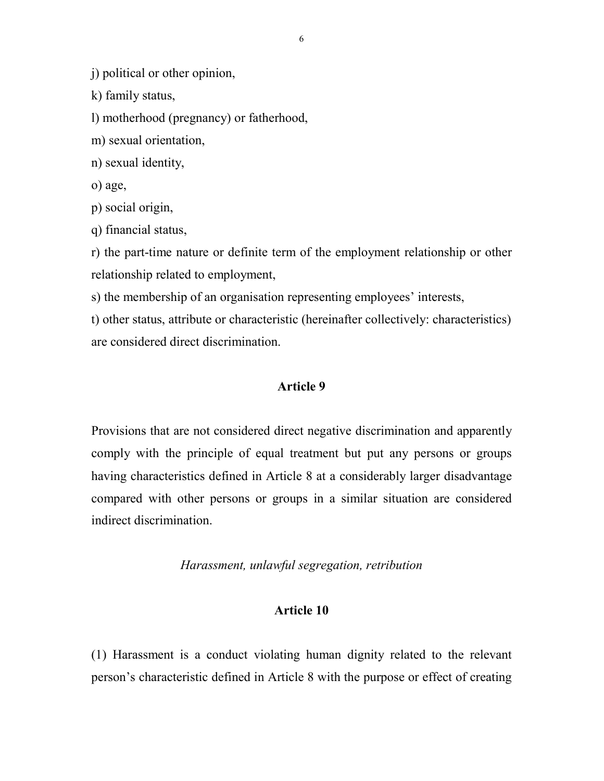j) political or other opinion,

k) family status,

l) motherhood (pregnancy) or fatherhood,

m) sexual orientation,

n) sexual identity,

o) age,

p) social origin,

q) financial status,

r) the part-time nature or definite term of the employment relationship or other relationship related to employment,

s) the membership of an organisation representing employees' interests,

t) other status, attribute or characteristic (hereinafter collectively: characteristics) are considered direct discrimination.

## Article 9

Provisions that are not considered direct negative discrimination and apparently comply with the principle of equal treatment but put any persons or groups having characteristics defined in Article 8 at a considerably larger disadvantage compared with other persons or groups in a similar situation are considered indirect discrimination.

Harassment, unlawful segregation, retribution

## Article 10

(1) Harassment is a conduct violating human dignity related to the relevant person's characteristic defined in Article 8 with the purpose or effect of creating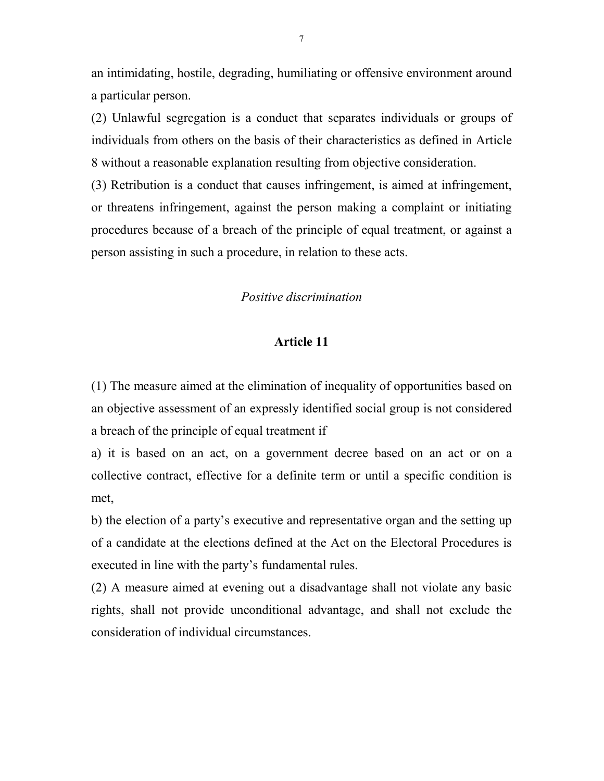an intimidating, hostile, degrading, humiliating or offensive environment around a particular person.

(2) Unlawful segregation is a conduct that separates individuals or groups of individuals from others on the basis of their characteristics as defined in Article 8 without a reasonable explanation resulting from objective consideration.

(3) Retribution is a conduct that causes infringement, is aimed at infringement, or threatens infringement, against the person making a complaint or initiating procedures because of a breach of the principle of equal treatment, or against a person assisting in such a procedure, in relation to these acts.

## Positive discrimination

## Article 11

(1) The measure aimed at the elimination of inequality of opportunities based on an objective assessment of an expressly identified social group is not considered a breach of the principle of equal treatment if

a) it is based on an act, on a government decree based on an act or on a collective contract, effective for a definite term or until a specific condition is met,

b) the election of a party's executive and representative organ and the setting up of a candidate at the elections defined at the Act on the Electoral Procedures is executed in line with the party's fundamental rules.

(2) A measure aimed at evening out a disadvantage shall not violate any basic rights, shall not provide unconditional advantage, and shall not exclude the consideration of individual circumstances.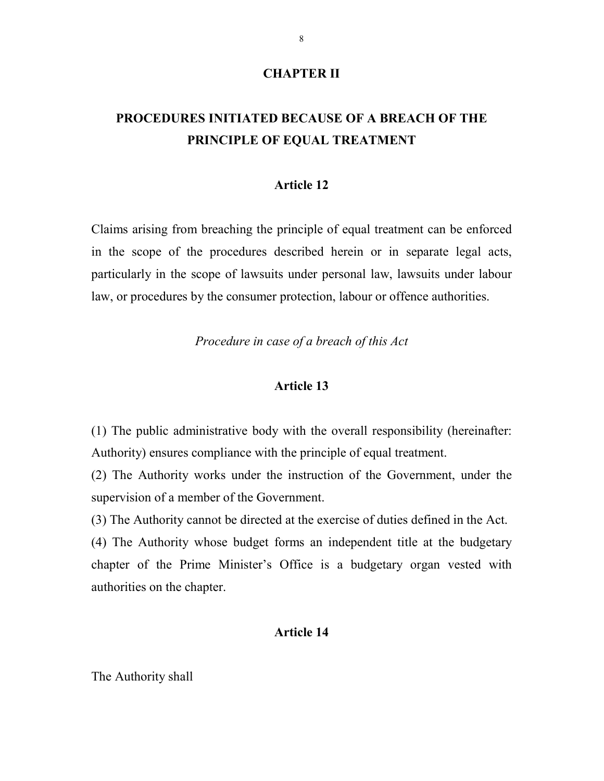### CHAPTER II

# PROCEDURES INITIATED BECAUSE OF A BREACH OF THE PRINCIPLE OF EQUAL TREATMENT

#### Article 12

Claims arising from breaching the principle of equal treatment can be enforced in the scope of the procedures described herein or in separate legal acts, particularly in the scope of lawsuits under personal law, lawsuits under labour law, or procedures by the consumer protection, labour or offence authorities.

Procedure in case of a breach of this Act

#### Article 13

(1) The public administrative body with the overall responsibility (hereinafter: Authority) ensures compliance with the principle of equal treatment.

(2) The Authority works under the instruction of the Government, under the supervision of a member of the Government.

(3) The Authority cannot be directed at the exercise of duties defined in the Act.

(4) The Authority whose budget forms an independent title at the budgetary chapter of the Prime Minister's Office is a budgetary organ vested with authorities on the chapter.

## Article 14

The Authority shall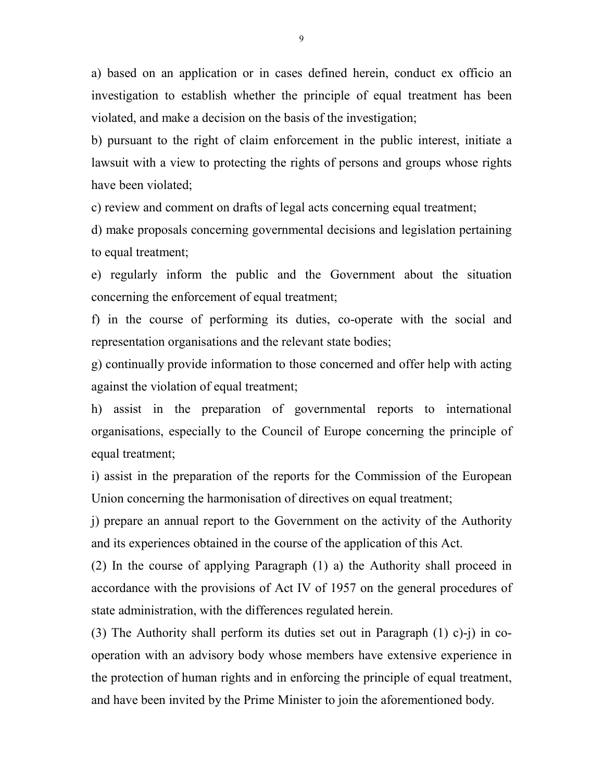a) based on an application or in cases defined herein, conduct ex officio an investigation to establish whether the principle of equal treatment has been violated, and make a decision on the basis of the investigation;

b) pursuant to the right of claim enforcement in the public interest, initiate a lawsuit with a view to protecting the rights of persons and groups whose rights have been violated;

c) review and comment on drafts of legal acts concerning equal treatment;

d) make proposals concerning governmental decisions and legislation pertaining to equal treatment;

e) regularly inform the public and the Government about the situation concerning the enforcement of equal treatment;

f) in the course of performing its duties, co-operate with the social and representation organisations and the relevant state bodies;

g) continually provide information to those concerned and offer help with acting against the violation of equal treatment;

h) assist in the preparation of governmental reports to international organisations, especially to the Council of Europe concerning the principle of equal treatment;

i) assist in the preparation of the reports for the Commission of the European Union concerning the harmonisation of directives on equal treatment;

j) prepare an annual report to the Government on the activity of the Authority and its experiences obtained in the course of the application of this Act.

(2) In the course of applying Paragraph (1) a) the Authority shall proceed in accordance with the provisions of Act IV of 1957 on the general procedures of state administration, with the differences regulated herein.

(3) The Authority shall perform its duties set out in Paragraph (1) c)-j) in cooperation with an advisory body whose members have extensive experience in the protection of human rights and in enforcing the principle of equal treatment, and have been invited by the Prime Minister to join the aforementioned body.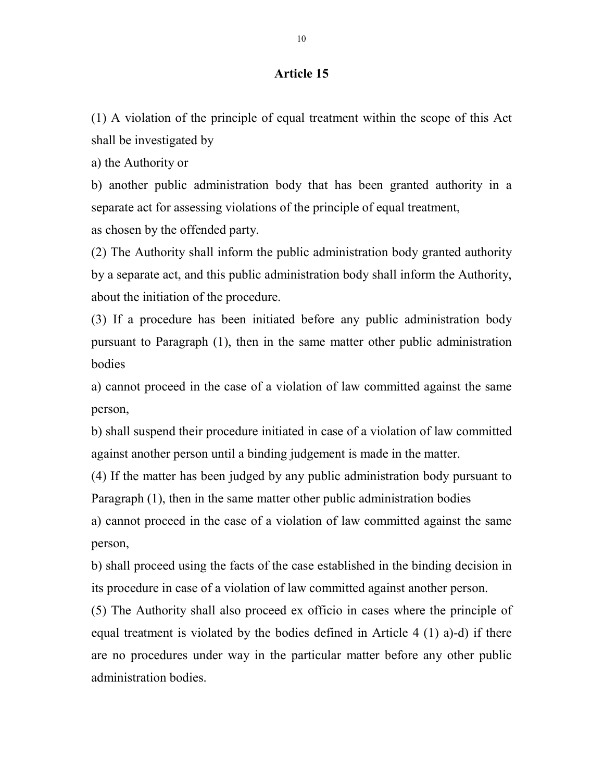(1) A violation of the principle of equal treatment within the scope of this Act shall be investigated by

a) the Authority or

b) another public administration body that has been granted authority in a separate act for assessing violations of the principle of equal treatment, as chosen by the offended party.

(2) The Authority shall inform the public administration body granted authority by a separate act, and this public administration body shall inform the Authority, about the initiation of the procedure.

(3) If a procedure has been initiated before any public administration body pursuant to Paragraph (1), then in the same matter other public administration bodies

a) cannot proceed in the case of a violation of law committed against the same person,

b) shall suspend their procedure initiated in case of a violation of law committed against another person until a binding judgement is made in the matter.

(4) If the matter has been judged by any public administration body pursuant to Paragraph (1), then in the same matter other public administration bodies

a) cannot proceed in the case of a violation of law committed against the same person,

b) shall proceed using the facts of the case established in the binding decision in its procedure in case of a violation of law committed against another person.

(5) The Authority shall also proceed ex officio in cases where the principle of equal treatment is violated by the bodies defined in Article 4 (1) a)-d) if there are no procedures under way in the particular matter before any other public administration bodies.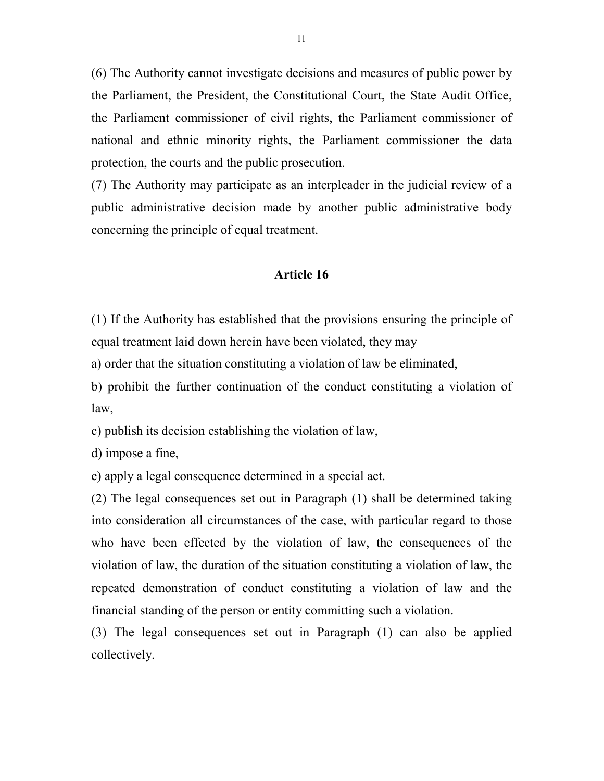(6) The Authority cannot investigate decisions and measures of public power by the Parliament, the President, the Constitutional Court, the State Audit Office, the Parliament commissioner of civil rights, the Parliament commissioner of national and ethnic minority rights, the Parliament commissioner the data protection, the courts and the public prosecution.

(7) The Authority may participate as an interpleader in the judicial review of a public administrative decision made by another public administrative body concerning the principle of equal treatment.

#### Article 16

(1) If the Authority has established that the provisions ensuring the principle of equal treatment laid down herein have been violated, they may

a) order that the situation constituting a violation of law be eliminated,

b) prohibit the further continuation of the conduct constituting a violation of law,

c) publish its decision establishing the violation of law,

d) impose a fine,

e) apply a legal consequence determined in a special act.

(2) The legal consequences set out in Paragraph (1) shall be determined taking into consideration all circumstances of the case, with particular regard to those who have been effected by the violation of law, the consequences of the violation of law, the duration of the situation constituting a violation of law, the repeated demonstration of conduct constituting a violation of law and the financial standing of the person or entity committing such a violation.

(3) The legal consequences set out in Paragraph (1) can also be applied collectively.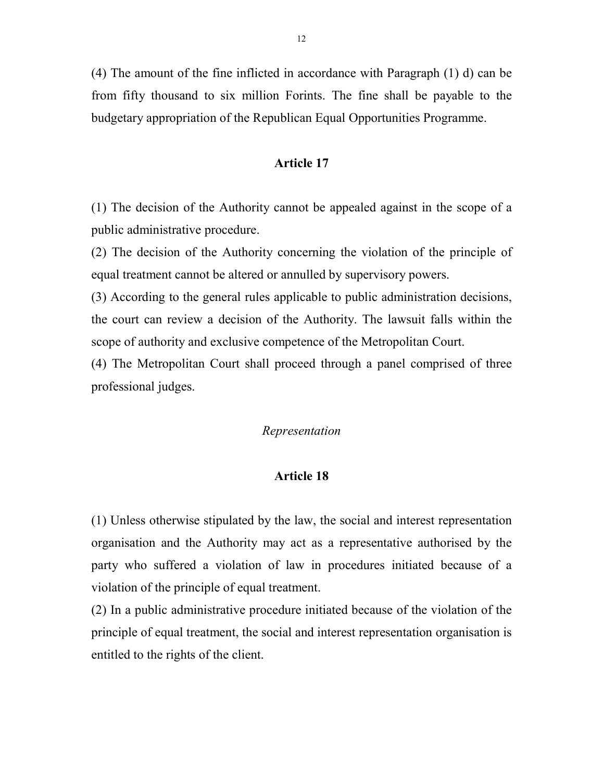(4) The amount of the fine inflicted in accordance with Paragraph (1) d) can be from fifty thousand to six million Forints. The fine shall be payable to the budgetary appropriation of the Republican Equal Opportunities Programme.

## Article 17

(1) The decision of the Authority cannot be appealed against in the scope of a public administrative procedure.

(2) The decision of the Authority concerning the violation of the principle of equal treatment cannot be altered or annulled by supervisory powers.

(3) According to the general rules applicable to public administration decisions, the court can review a decision of the Authority. The lawsuit falls within the scope of authority and exclusive competence of the Metropolitan Court.

(4) The Metropolitan Court shall proceed through a panel comprised of three professional judges.

## Representation

#### Article 18

(1) Unless otherwise stipulated by the law, the social and interest representation organisation and the Authority may act as a representative authorised by the party who suffered a violation of law in procedures initiated because of a violation of the principle of equal treatment.

(2) In a public administrative procedure initiated because of the violation of the principle of equal treatment, the social and interest representation organisation is entitled to the rights of the client.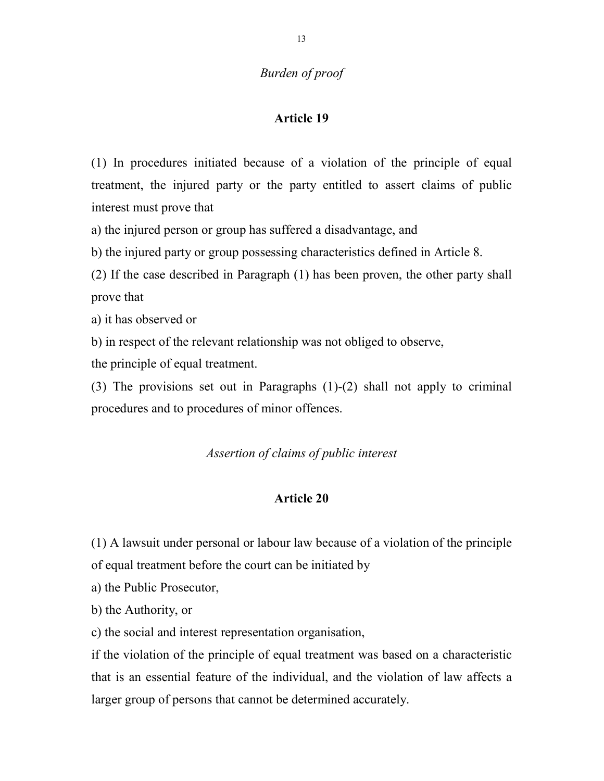# Burden of proof

## Article 19

(1) In procedures initiated because of a violation of the principle of equal treatment, the injured party or the party entitled to assert claims of public interest must prove that

a) the injured person or group has suffered a disadvantage, and

b) the injured party or group possessing characteristics defined in Article 8.

(2) If the case described in Paragraph (1) has been proven, the other party shall prove that

a) it has observed or

b) in respect of the relevant relationship was not obliged to observe,

the principle of equal treatment.

(3) The provisions set out in Paragraphs (1)-(2) shall not apply to criminal procedures and to procedures of minor offences.

## Assertion of claims of public interest

## Article 20

(1) A lawsuit under personal or labour law because of a violation of the principle of equal treatment before the court can be initiated by

a) the Public Prosecutor,

b) the Authority, or

c) the social and interest representation organisation,

if the violation of the principle of equal treatment was based on a characteristic that is an essential feature of the individual, and the violation of law affects a larger group of persons that cannot be determined accurately.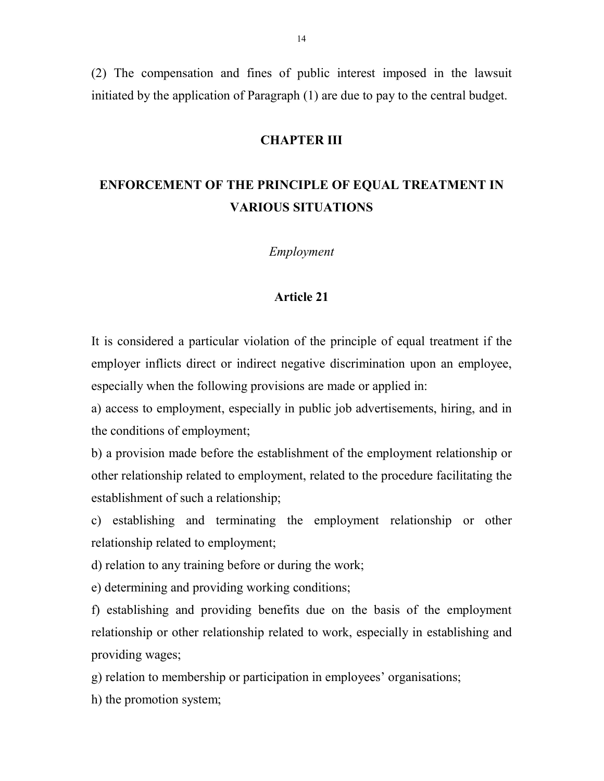(2) The compensation and fines of public interest imposed in the lawsuit initiated by the application of Paragraph (1) are due to pay to the central budget.

#### CHAPTER III

# ENFORCEMENT OF THE PRINCIPLE OF EQUAL TREATMENT IN VARIOUS SITUATIONS

Employment

#### Article 21

It is considered a particular violation of the principle of equal treatment if the employer inflicts direct or indirect negative discrimination upon an employee, especially when the following provisions are made or applied in:

a) access to employment, especially in public job advertisements, hiring, and in the conditions of employment;

b) a provision made before the establishment of the employment relationship or other relationship related to employment, related to the procedure facilitating the establishment of such a relationship;

c) establishing and terminating the employment relationship or other relationship related to employment;

d) relation to any training before or during the work;

e) determining and providing working conditions;

f) establishing and providing benefits due on the basis of the employment relationship or other relationship related to work, especially in establishing and providing wages;

g) relation to membership or participation in employees' organisations;

h) the promotion system;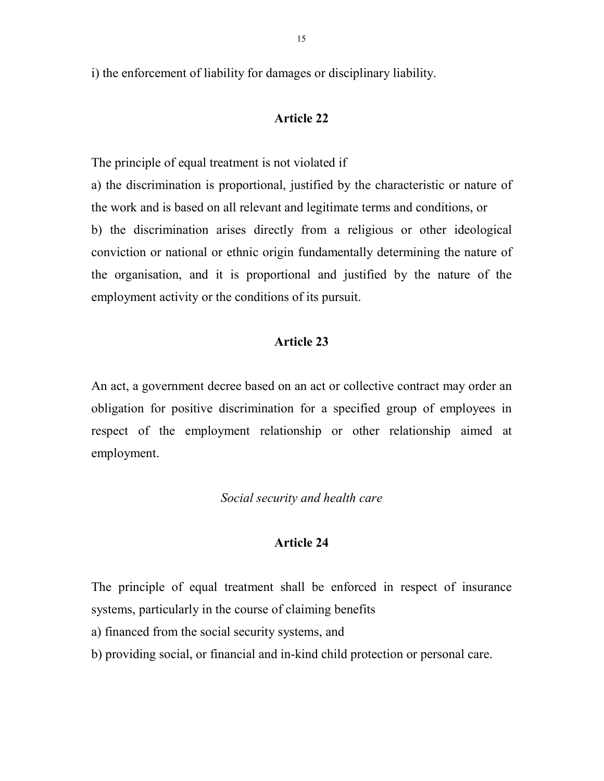i) the enforcement of liability for damages or disciplinary liability.

## Article 22

The principle of equal treatment is not violated if

a) the discrimination is proportional, justified by the characteristic or nature of the work and is based on all relevant and legitimate terms and conditions, or b) the discrimination arises directly from a religious or other ideological conviction or national or ethnic origin fundamentally determining the nature of the organisation, and it is proportional and justified by the nature of the employment activity or the conditions of its pursuit.

## Article 23

An act, a government decree based on an act or collective contract may order an obligation for positive discrimination for a specified group of employees in respect of the employment relationship or other relationship aimed at employment.

## Social security and health care

## Article 24

The principle of equal treatment shall be enforced in respect of insurance systems, particularly in the course of claiming benefits

a) financed from the social security systems, and

b) providing social, or financial and in-kind child protection or personal care.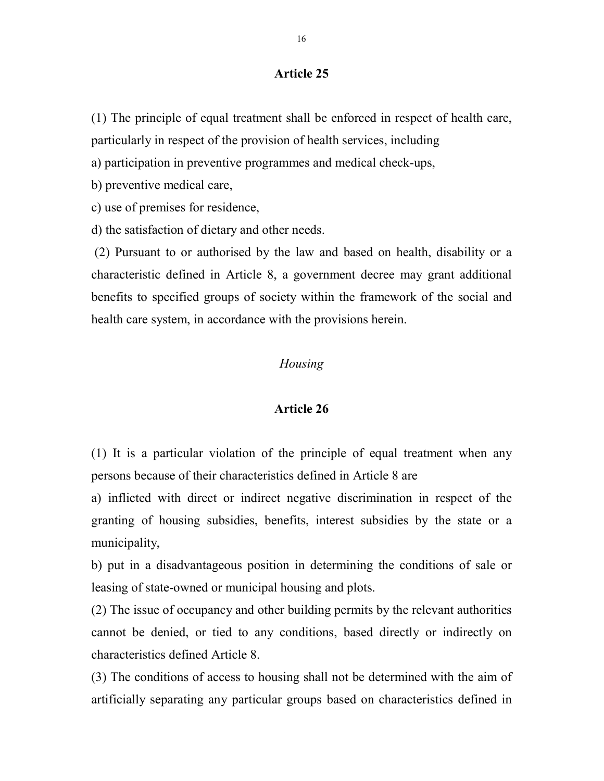(1) The principle of equal treatment shall be enforced in respect of health care, particularly in respect of the provision of health services, including

a) participation in preventive programmes and medical check-ups,

b) preventive medical care,

c) use of premises for residence,

d) the satisfaction of dietary and other needs.

 (2) Pursuant to or authorised by the law and based on health, disability or a characteristic defined in Article 8, a government decree may grant additional benefits to specified groups of society within the framework of the social and health care system, in accordance with the provisions herein.

## Housing

#### Article 26

(1) It is a particular violation of the principle of equal treatment when any persons because of their characteristics defined in Article 8 are

a) inflicted with direct or indirect negative discrimination in respect of the granting of housing subsidies, benefits, interest subsidies by the state or a municipality,

b) put in a disadvantageous position in determining the conditions of sale or leasing of state-owned or municipal housing and plots.

(2) The issue of occupancy and other building permits by the relevant authorities cannot be denied, or tied to any conditions, based directly or indirectly on characteristics defined Article 8.

(3) The conditions of access to housing shall not be determined with the aim of artificially separating any particular groups based on characteristics defined in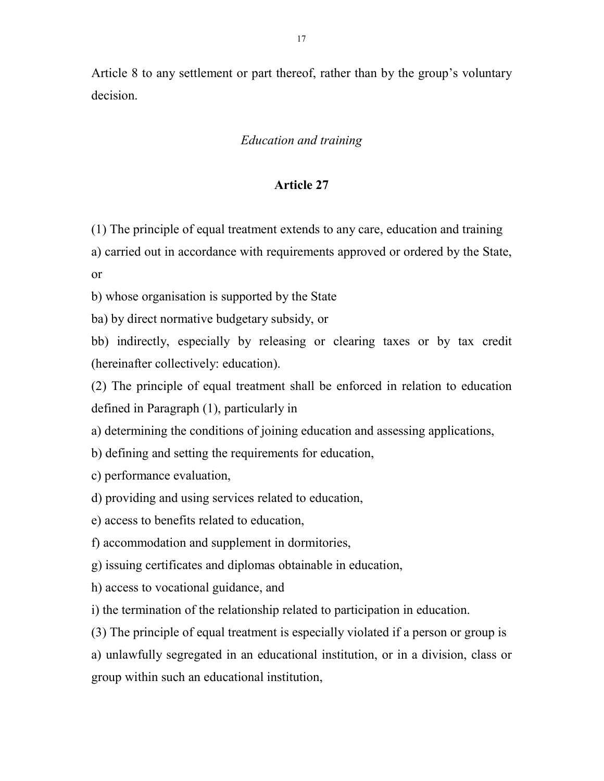Article 8 to any settlement or part thereof, rather than by the group's voluntary decision.

# Education and training

## Article 27

(1) The principle of equal treatment extends to any care, education and training

a) carried out in accordance with requirements approved or ordered by the State, or

b) whose organisation is supported by the State

ba) by direct normative budgetary subsidy, or

bb) indirectly, especially by releasing or clearing taxes or by tax credit (hereinafter collectively: education).

(2) The principle of equal treatment shall be enforced in relation to education defined in Paragraph (1), particularly in

a) determining the conditions of joining education and assessing applications,

b) defining and setting the requirements for education,

c) performance evaluation,

d) providing and using services related to education,

e) access to benefits related to education,

f) accommodation and supplement in dormitories,

g) issuing certificates and diplomas obtainable in education,

h) access to vocational guidance, and

i) the termination of the relationship related to participation in education.

(3) The principle of equal treatment is especially violated if a person or group is

a) unlawfully segregated in an educational institution, or in a division, class or group within such an educational institution,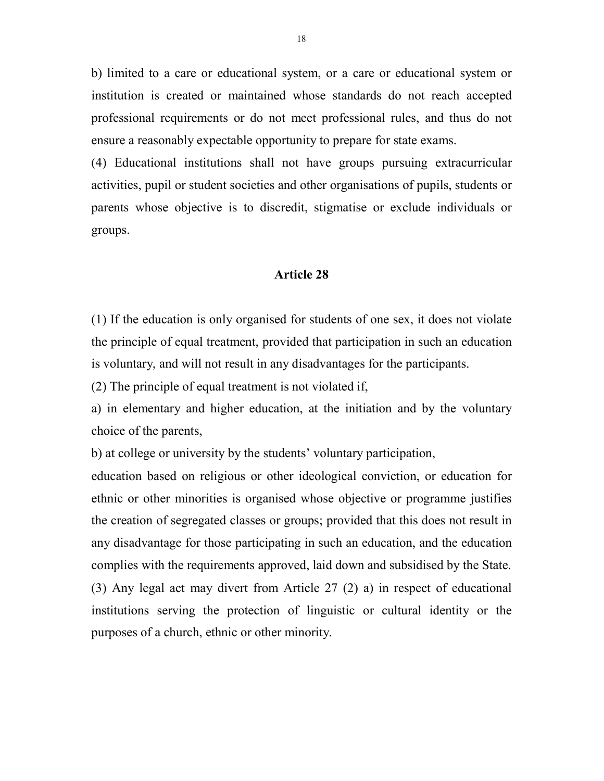b) limited to a care or educational system, or a care or educational system or institution is created or maintained whose standards do not reach accepted professional requirements or do not meet professional rules, and thus do not ensure a reasonably expectable opportunity to prepare for state exams.

(4) Educational institutions shall not have groups pursuing extracurricular activities, pupil or student societies and other organisations of pupils, students or parents whose objective is to discredit, stigmatise or exclude individuals or groups.

#### Article 28

(1) If the education is only organised for students of one sex, it does not violate the principle of equal treatment, provided that participation in such an education is voluntary, and will not result in any disadvantages for the participants.

(2) The principle of equal treatment is not violated if,

a) in elementary and higher education, at the initiation and by the voluntary choice of the parents,

b) at college or university by the students' voluntary participation,

education based on religious or other ideological conviction, or education for ethnic or other minorities is organised whose objective or programme justifies the creation of segregated classes or groups; provided that this does not result in any disadvantage for those participating in such an education, and the education complies with the requirements approved, laid down and subsidised by the State. (3) Any legal act may divert from Article 27 (2) a) in respect of educational institutions serving the protection of linguistic or cultural identity or the purposes of a church, ethnic or other minority.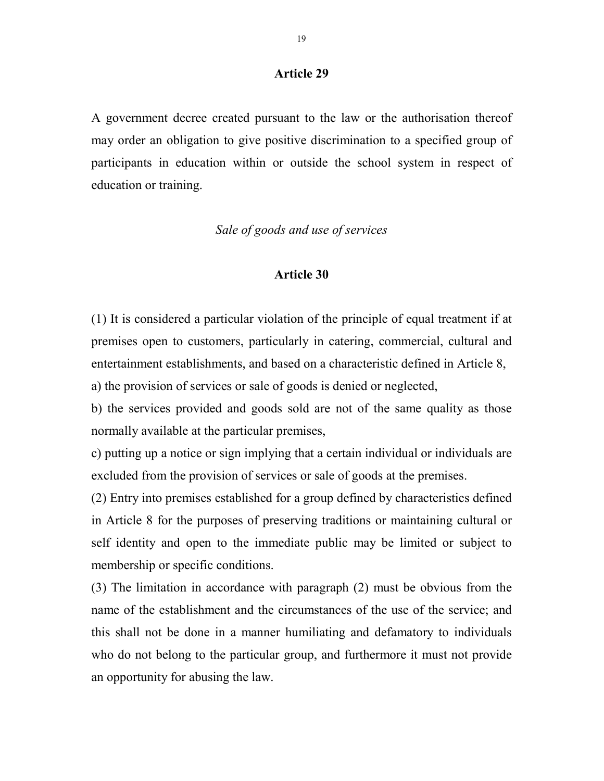A government decree created pursuant to the law or the authorisation thereof may order an obligation to give positive discrimination to a specified group of participants in education within or outside the school system in respect of education or training.

# Sale of goods and use of services

#### Article 30

(1) It is considered a particular violation of the principle of equal treatment if at premises open to customers, particularly in catering, commercial, cultural and entertainment establishments, and based on a characteristic defined in Article 8,

a) the provision of services or sale of goods is denied or neglected,

b) the services provided and goods sold are not of the same quality as those normally available at the particular premises,

c) putting up a notice or sign implying that a certain individual or individuals are excluded from the provision of services or sale of goods at the premises.

(2) Entry into premises established for a group defined by characteristics defined in Article 8 for the purposes of preserving traditions or maintaining cultural or self identity and open to the immediate public may be limited or subject to membership or specific conditions.

(3) The limitation in accordance with paragraph (2) must be obvious from the name of the establishment and the circumstances of the use of the service; and this shall not be done in a manner humiliating and defamatory to individuals who do not belong to the particular group, and furthermore it must not provide an opportunity for abusing the law.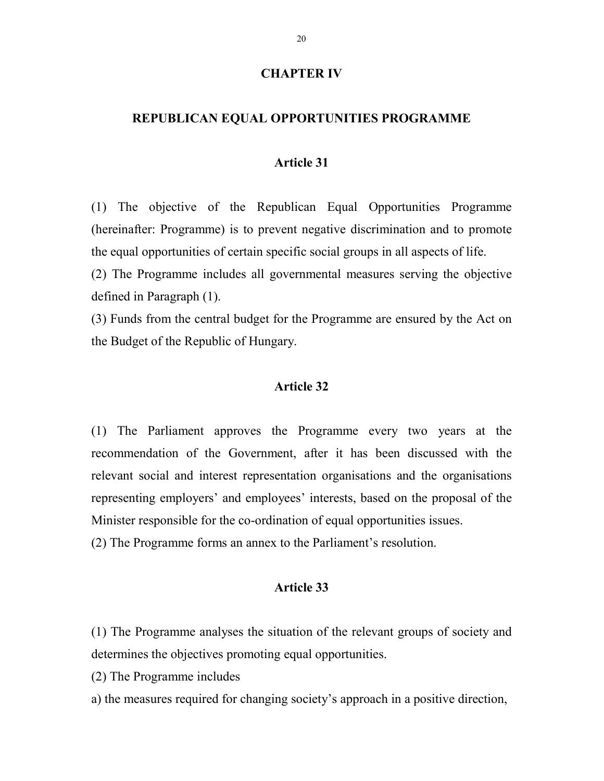### CHAPTER IV

#### REPUBLICAN EQUAL OPPORTUNITIES PROGRAMME

#### Article 31

(1) The objective of the Republican Equal Opportunities Programme (hereinafter: Programme) is to prevent negative discrimination and to promote the equal opportunities of certain specific social groups in all aspects of life.

(2) The Programme includes all governmental measures serving the objective defined in Paragraph (1).

(3) Funds from the central budget for the Programme are ensured by the Act on the Budget of the Republic of Hungary.

## Article 32

(1) The Parliament approves the Programme every two years at the recommendation of the Government, after it has been discussed with the relevant social and interest representation organisations and the organisations representing employers' and employees' interests, based on the proposal of the Minister responsible for the co-ordination of equal opportunities issues.

(2) The Programme forms an annex to the Parliament's resolution.

## Article 33

(1) The Programme analyses the situation of the relevant groups of society and determines the objectives promoting equal opportunities.

(2) The Programme includes

a) the measures required for changing society's approach in a positive direction,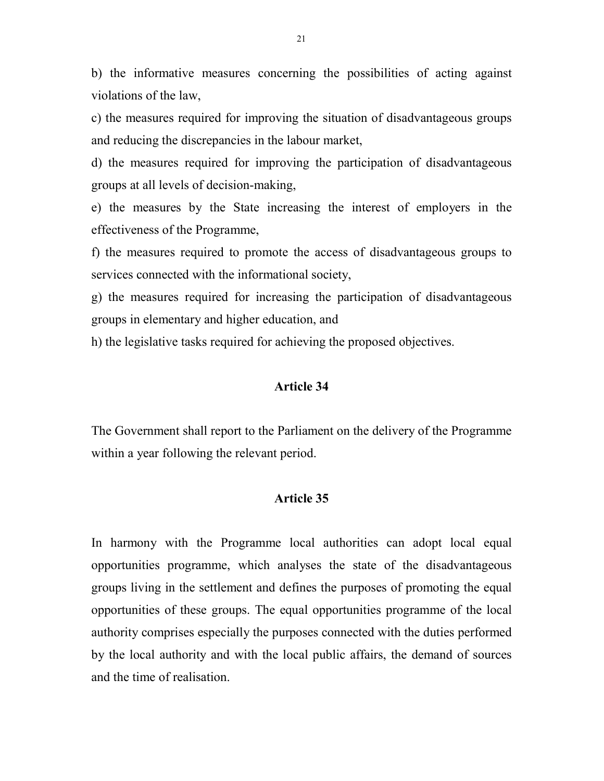b) the informative measures concerning the possibilities of acting against violations of the law,

c) the measures required for improving the situation of disadvantageous groups and reducing the discrepancies in the labour market,

d) the measures required for improving the participation of disadvantageous groups at all levels of decision-making,

e) the measures by the State increasing the interest of employers in the effectiveness of the Programme,

f) the measures required to promote the access of disadvantageous groups to services connected with the informational society,

g) the measures required for increasing the participation of disadvantageous groups in elementary and higher education, and

h) the legislative tasks required for achieving the proposed objectives.

## Article 34

The Government shall report to the Parliament on the delivery of the Programme within a year following the relevant period.

#### Article 35

In harmony with the Programme local authorities can adopt local equal opportunities programme, which analyses the state of the disadvantageous groups living in the settlement and defines the purposes of promoting the equal opportunities of these groups. The equal opportunities programme of the local authority comprises especially the purposes connected with the duties performed by the local authority and with the local public affairs, the demand of sources and the time of realisation.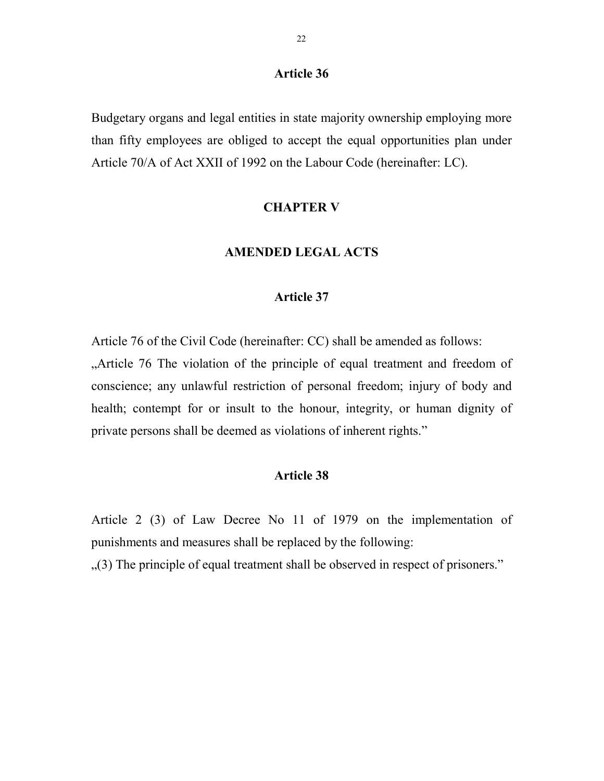Budgetary organs and legal entities in state majority ownership employing more than fifty employees are obliged to accept the equal opportunities plan under Article 70/A of Act XXII of 1992 on the Labour Code (hereinafter: LC).

#### CHAPTER V

#### AMENDED LEGAL ACTS

#### Article 37

Article 76 of the Civil Code (hereinafter: CC) shall be amended as follows:

...Article 76 The violation of the principle of equal treatment and freedom of conscience; any unlawful restriction of personal freedom; injury of body and health; contempt for or insult to the honour, integrity, or human dignity of private persons shall be deemed as violations of inherent rights."

## Article 38

Article 2 (3) of Law Decree No 11 of 1979 on the implementation of punishments and measures shall be replaced by the following:

...(3) The principle of equal treatment shall be observed in respect of prisoners."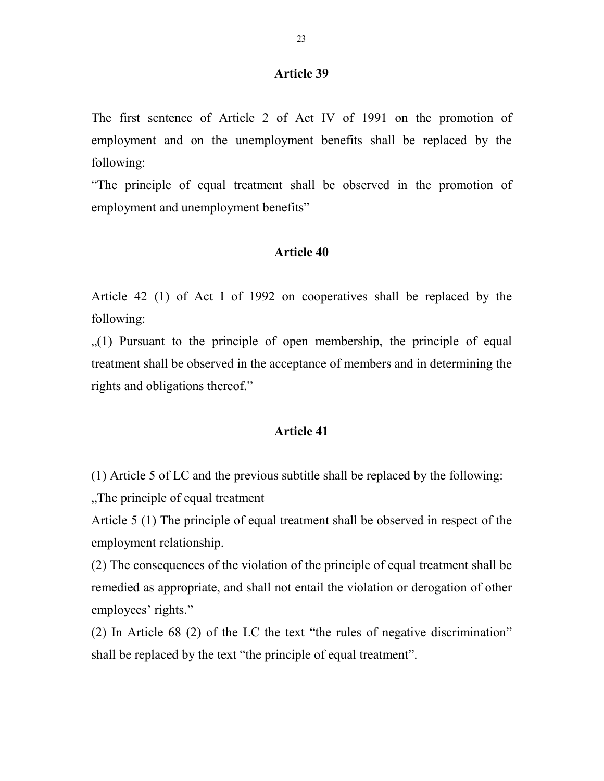The first sentence of Article 2 of Act IV of 1991 on the promotion of employment and on the unemployment benefits shall be replaced by the following:

"The principle of equal treatment shall be observed in the promotion of employment and unemployment benefits"

#### Article 40

Article 42 (1) of Act I of 1992 on cooperatives shall be replaced by the following:

 $(1)$  Pursuant to the principle of open membership, the principle of equal treatment shall be observed in the acceptance of members and in determining the rights and obligations thereof."

#### Article 41

(1) Article 5 of LC and the previous subtitle shall be replaced by the following:

"The principle of equal treatment

Article 5 (1) The principle of equal treatment shall be observed in respect of the employment relationship.

(2) The consequences of the violation of the principle of equal treatment shall be remedied as appropriate, and shall not entail the violation or derogation of other employees' rights."

(2) In Article 68 (2) of the LC the text "the rules of negative discrimination" shall be replaced by the text "the principle of equal treatment".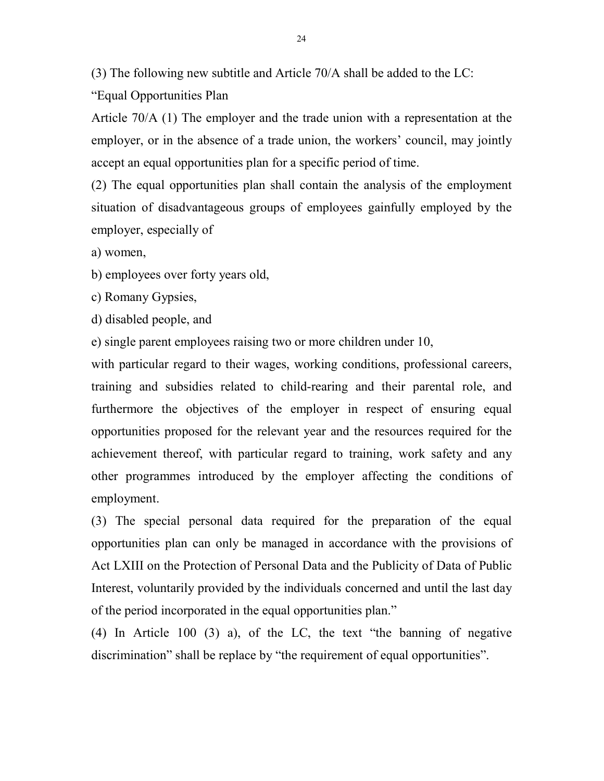(3) The following new subtitle and Article 70/A shall be added to the LC:

"Equal Opportunities Plan

Article 70/A (1) The employer and the trade union with a representation at the employer, or in the absence of a trade union, the workers' council, may jointly accept an equal opportunities plan for a specific period of time.

(2) The equal opportunities plan shall contain the analysis of the employment situation of disadvantageous groups of employees gainfully employed by the employer, especially of

a) women,

b) employees over forty years old,

c) Romany Gypsies,

d) disabled people, and

e) single parent employees raising two or more children under 10,

with particular regard to their wages, working conditions, professional careers, training and subsidies related to child-rearing and their parental role, and furthermore the objectives of the employer in respect of ensuring equal opportunities proposed for the relevant year and the resources required for the achievement thereof, with particular regard to training, work safety and any other programmes introduced by the employer affecting the conditions of employment.

(3) The special personal data required for the preparation of the equal opportunities plan can only be managed in accordance with the provisions of Act LXIII on the Protection of Personal Data and the Publicity of Data of Public Interest, voluntarily provided by the individuals concerned and until the last day of the period incorporated in the equal opportunities plan."

(4) In Article 100 (3) a), of the LC, the text "the banning of negative discrimination" shall be replace by "the requirement of equal opportunities".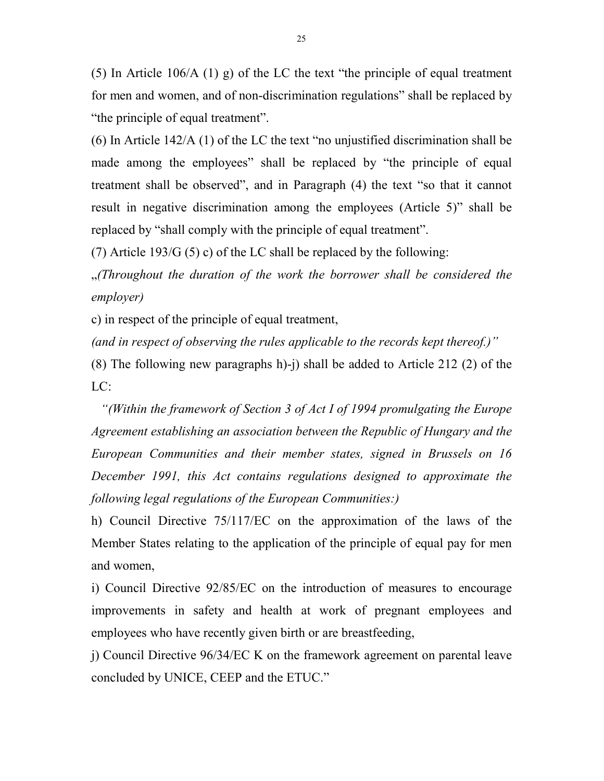(5) In Article 106/A (1) g) of the LC the text "the principle of equal treatment for men and women, and of non-discrimination regulations" shall be replaced by "the principle of equal treatment".

(6) In Article 142/A (1) of the LC the text "no unjustified discrimination shall be made among the employees" shall be replaced by "the principle of equal treatment shall be observed", and in Paragraph (4) the text "so that it cannot result in negative discrimination among the employees (Article 5)" shall be replaced by "shall comply with the principle of equal treatment".

(7) Article 193/G (5) c) of the LC shall be replaced by the following:

 $\mathcal{L}$  (Throughout the duration of the work the borrower shall be considered the employer)

c) in respect of the principle of equal treatment,

(and in respect of observing the rules applicable to the records kept thereof.)"

(8) The following new paragraphs h)-j) shall be added to Article 212 (2) of the  $LC:$ 

"(Within the framework of Section 3 of Act I of 1994 promulgating the Europe Agreement establishing an association between the Republic of Hungary and the European Communities and their member states, signed in Brussels on 16 December 1991, this Act contains regulations designed to approximate the following legal regulations of the European Communities:)

h) Council Directive 75/117/EC on the approximation of the laws of the Member States relating to the application of the principle of equal pay for men and women,

i) Council Directive 92/85/EC on the introduction of measures to encourage improvements in safety and health at work of pregnant employees and employees who have recently given birth or are breastfeeding,

j) Council Directive 96/34/EC K on the framework agreement on parental leave concluded by UNICE, CEEP and the ETUC."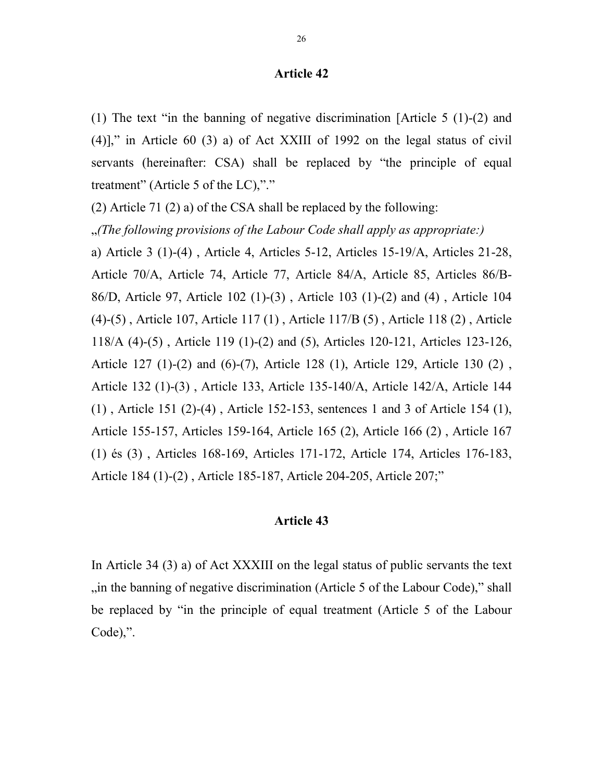(1) The text "in the banning of negative discrimination [Article 5 (1)-(2) and (4)]," in Article 60 (3) a) of Act XXIII of 1992 on the legal status of civil servants (hereinafter: CSA) shall be replaced by "the principle of equal treatment" (Article 5 of the LC),"."

(2) Article 71 (2) a) of the CSA shall be replaced by the following:

 $\mathcal{L}$  (The following provisions of the Labour Code shall apply as appropriate:)

a) Article 3 (1)-(4) , Article 4, Articles 5-12, Articles 15-19/A, Articles 21-28, Article 70/A, Article 74, Article 77, Article 84/A, Article 85, Articles 86/B-86/D, Article 97, Article 102 (1)-(3) , Article 103 (1)-(2) and (4) , Article 104 (4)-(5) , Article 107, Article 117 (1) , Article 117/B (5) , Article 118 (2) , Article 118/A (4)-(5) , Article 119 (1)-(2) and (5), Articles 120-121, Articles 123-126, Article 127 (1)-(2) and (6)-(7), Article 128 (1), Article 129, Article 130 (2) , Article 132 (1)-(3) , Article 133, Article 135-140/A, Article 142/A, Article 144 (1) , Article 151 (2)-(4) , Article 152-153, sentences 1 and 3 of Article 154 (1), Article 155-157, Articles 159-164, Article 165 (2), Article 166 (2) , Article 167 (1) és (3) , Articles 168-169, Articles 171-172, Article 174, Articles 176-183, Article 184 (1)-(2) , Article 185-187, Article 204-205, Article 207;"

#### Article 43

In Article 34 (3) a) of Act XXXIII on the legal status of public servants the text  $\ldots$  in the banning of negative discrimination (Article 5 of the Labour Code)," shall be replaced by "in the principle of equal treatment (Article 5 of the Labour Code),".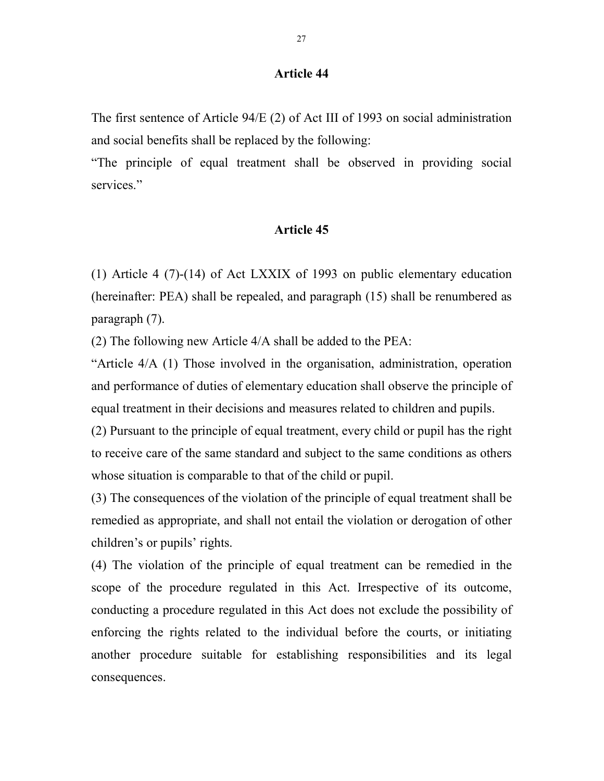The first sentence of Article 94/E (2) of Act III of 1993 on social administration and social benefits shall be replaced by the following:

"The principle of equal treatment shall be observed in providing social services."

## Article 45

(1) Article 4 (7)-(14) of Act LXXIX of 1993 on public elementary education (hereinafter: PEA) shall be repealed, and paragraph (15) shall be renumbered as paragraph (7).

(2) The following new Article 4/A shall be added to the PEA:

"Article 4/A (1) Those involved in the organisation, administration, operation and performance of duties of elementary education shall observe the principle of equal treatment in their decisions and measures related to children and pupils.

(2) Pursuant to the principle of equal treatment, every child or pupil has the right to receive care of the same standard and subject to the same conditions as others whose situation is comparable to that of the child or pupil.

(3) The consequences of the violation of the principle of equal treatment shall be remedied as appropriate, and shall not entail the violation or derogation of other children's or pupils' rights.

(4) The violation of the principle of equal treatment can be remedied in the scope of the procedure regulated in this Act. Irrespective of its outcome, conducting a procedure regulated in this Act does not exclude the possibility of enforcing the rights related to the individual before the courts, or initiating another procedure suitable for establishing responsibilities and its legal consequences.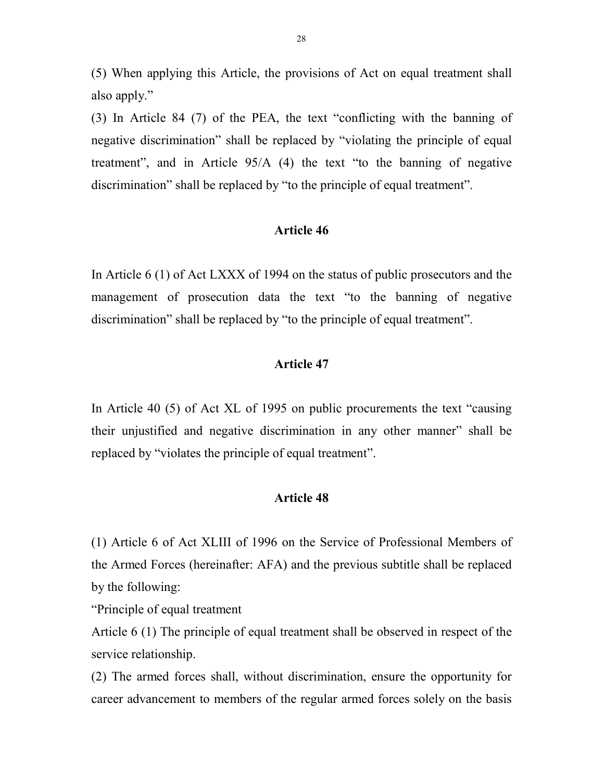(5) When applying this Article, the provisions of Act on equal treatment shall also apply."

(3) In Article 84 (7) of the PEA, the text "conflicting with the banning of negative discrimination" shall be replaced by "violating the principle of equal treatment", and in Article 95/A (4) the text "to the banning of negative discrimination" shall be replaced by "to the principle of equal treatment".

## Article 46

In Article 6 (1) of Act LXXX of 1994 on the status of public prosecutors and the management of prosecution data the text "to the banning of negative discrimination" shall be replaced by "to the principle of equal treatment".

## Article 47

In Article 40 (5) of Act XL of 1995 on public procurements the text "causing their unjustified and negative discrimination in any other manner" shall be replaced by "violates the principle of equal treatment".

#### Article 48

(1) Article 6 of Act XLIII of 1996 on the Service of Professional Members of the Armed Forces (hereinafter: AFA) and the previous subtitle shall be replaced by the following:

"Principle of equal treatment

Article 6 (1) The principle of equal treatment shall be observed in respect of the service relationship.

(2) The armed forces shall, without discrimination, ensure the opportunity for career advancement to members of the regular armed forces solely on the basis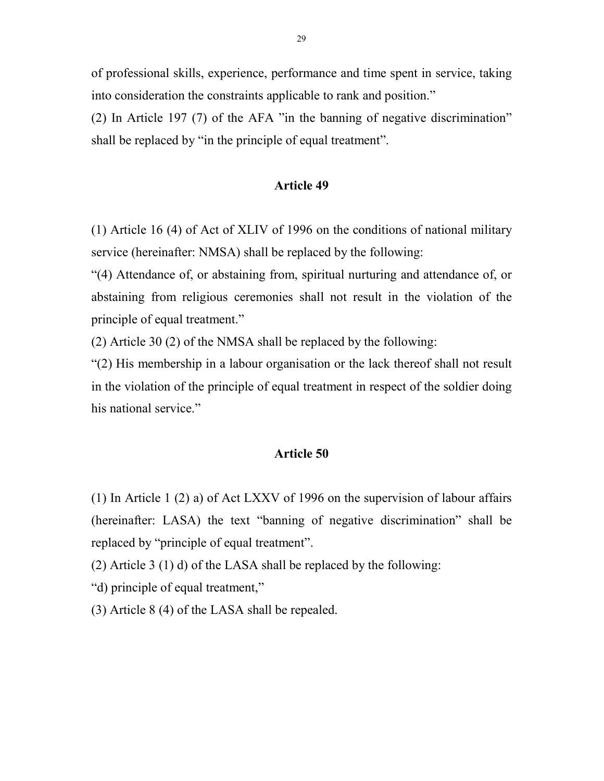of professional skills, experience, performance and time spent in service, taking into consideration the constraints applicable to rank and position."

(2) In Article 197 (7) of the AFA "in the banning of negative discrimination" shall be replaced by "in the principle of equal treatment".

#### Article 49

(1) Article 16 (4) of Act of XLIV of 1996 on the conditions of national military service (hereinafter: NMSA) shall be replaced by the following:

"(4) Attendance of, or abstaining from, spiritual nurturing and attendance of, or abstaining from religious ceremonies shall not result in the violation of the principle of equal treatment."

(2) Article 30 (2) of the NMSA shall be replaced by the following:

"(2) His membership in a labour organisation or the lack thereof shall not result in the violation of the principle of equal treatment in respect of the soldier doing his national service."

#### Article 50

(1) In Article 1 (2) a) of Act LXXV of 1996 on the supervision of labour affairs (hereinafter: LASA) the text "banning of negative discrimination" shall be replaced by "principle of equal treatment".

(2) Article 3 (1) d) of the LASA shall be replaced by the following:

"d) principle of equal treatment,"

(3) Article 8 (4) of the LASA shall be repealed.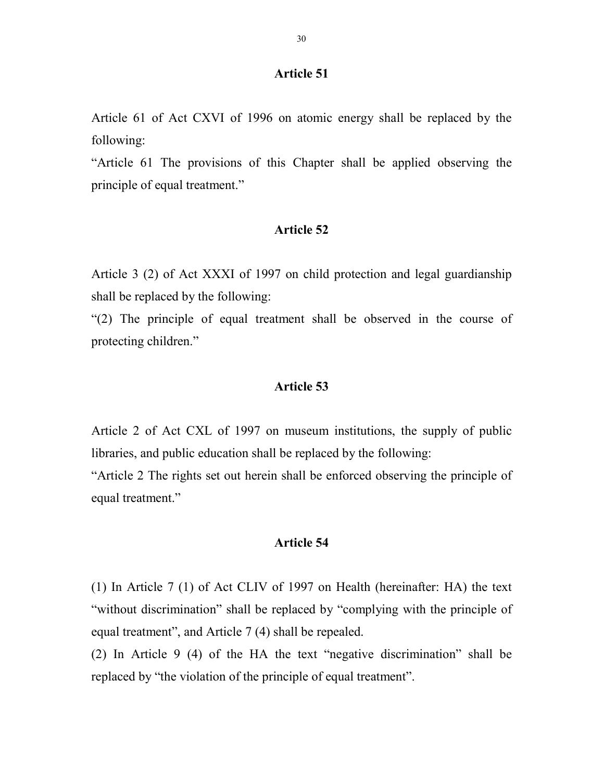Article 61 of Act CXVI of 1996 on atomic energy shall be replaced by the following:

"Article 61 The provisions of this Chapter shall be applied observing the principle of equal treatment."

## Article 52

Article 3 (2) of Act XXXI of 1997 on child protection and legal guardianship shall be replaced by the following:

"(2) The principle of equal treatment shall be observed in the course of protecting children."

## Article 53

Article 2 of Act CXL of 1997 on museum institutions, the supply of public libraries, and public education shall be replaced by the following:

"Article 2 The rights set out herein shall be enforced observing the principle of equal treatment."

## Article 54

(1) In Article 7 (1) of Act CLIV of 1997 on Health (hereinafter: HA) the text "without discrimination" shall be replaced by "complying with the principle of equal treatment", and Article 7 (4) shall be repealed.

(2) In Article 9 (4) of the HA the text "negative discrimination" shall be replaced by "the violation of the principle of equal treatment".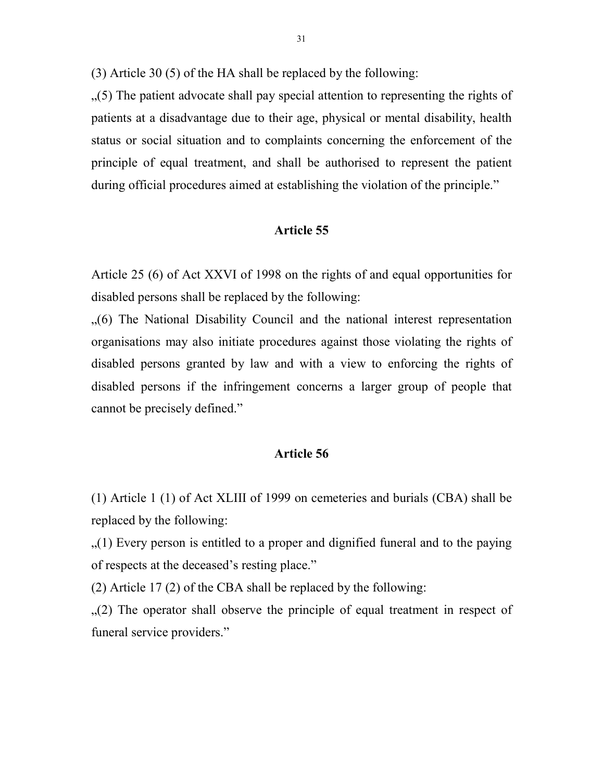(3) Article 30 (5) of the HA shall be replaced by the following:

 $(5)$ . The patient advocate shall pay special attention to representing the rights of patients at a disadvantage due to their age, physical or mental disability, health status or social situation and to complaints concerning the enforcement of the principle of equal treatment, and shall be authorised to represent the patient during official procedures aimed at establishing the violation of the principle."

## Article 55

Article 25 (6) of Act XXVI of 1998 on the rights of and equal opportunities for disabled persons shall be replaced by the following:

 $(6)$  The National Disability Council and the national interest representation organisations may also initiate procedures against those violating the rights of disabled persons granted by law and with a view to enforcing the rights of disabled persons if the infringement concerns a larger group of people that cannot be precisely defined."

#### Article 56

(1) Article 1 (1) of Act XLIII of 1999 on cemeteries and burials (CBA) shall be replaced by the following:

 $(1)$  Every person is entitled to a proper and dignified funeral and to the paying of respects at the deceased's resting place."

(2) Article 17 (2) of the CBA shall be replaced by the following:

 $(2)$ . The operator shall observe the principle of equal treatment in respect of funeral service providers."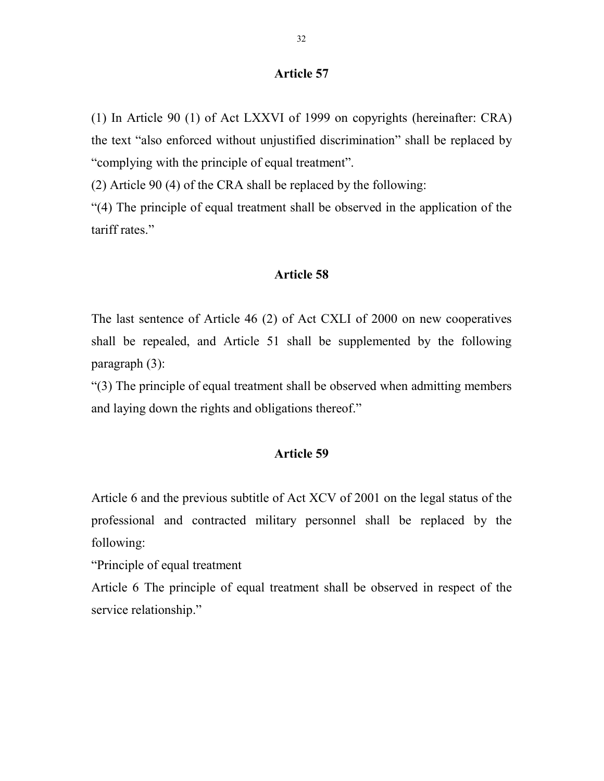(1) In Article 90 (1) of Act LXXVI of 1999 on copyrights (hereinafter: CRA) the text "also enforced without unjustified discrimination" shall be replaced by "complying with the principle of equal treatment".

(2) Article 90 (4) of the CRA shall be replaced by the following:

"(4) The principle of equal treatment shall be observed in the application of the tariff rates."

#### Article 58

The last sentence of Article 46 (2) of Act CXLI of 2000 on new cooperatives shall be repealed, and Article 51 shall be supplemented by the following paragraph (3):

"(3) The principle of equal treatment shall be observed when admitting members and laying down the rights and obligations thereof."

#### Article 59

Article 6 and the previous subtitle of Act XCV of 2001 on the legal status of the professional and contracted military personnel shall be replaced by the following:

"Principle of equal treatment

Article 6 The principle of equal treatment shall be observed in respect of the service relationship."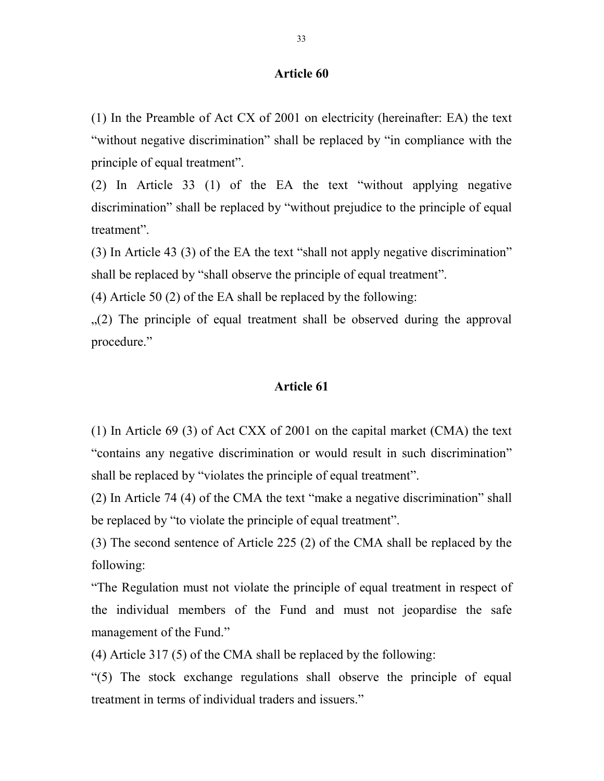(1) In the Preamble of Act CX of 2001 on electricity (hereinafter: EA) the text "without negative discrimination" shall be replaced by "in compliance with the principle of equal treatment".

(2) In Article 33 (1) of the EA the text "without applying negative discrimination" shall be replaced by "without prejudice to the principle of equal treatment".

(3) In Article 43 (3) of the EA the text "shall not apply negative discrimination" shall be replaced by "shall observe the principle of equal treatment".

(4) Article 50 (2) of the EA shall be replaced by the following:

 $(2)$  The principle of equal treatment shall be observed during the approval procedure."

### Article 61

(1) In Article 69 (3) of Act CXX of 2001 on the capital market (CMA) the text "contains any negative discrimination or would result in such discrimination" shall be replaced by "violates the principle of equal treatment".

(2) In Article 74 (4) of the CMA the text "make a negative discrimination" shall be replaced by "to violate the principle of equal treatment".

(3) The second sentence of Article 225 (2) of the CMA shall be replaced by the following:

"The Regulation must not violate the principle of equal treatment in respect of the individual members of the Fund and must not jeopardise the safe management of the Fund."

(4) Article 317 (5) of the CMA shall be replaced by the following:

"(5) The stock exchange regulations shall observe the principle of equal treatment in terms of individual traders and issuers."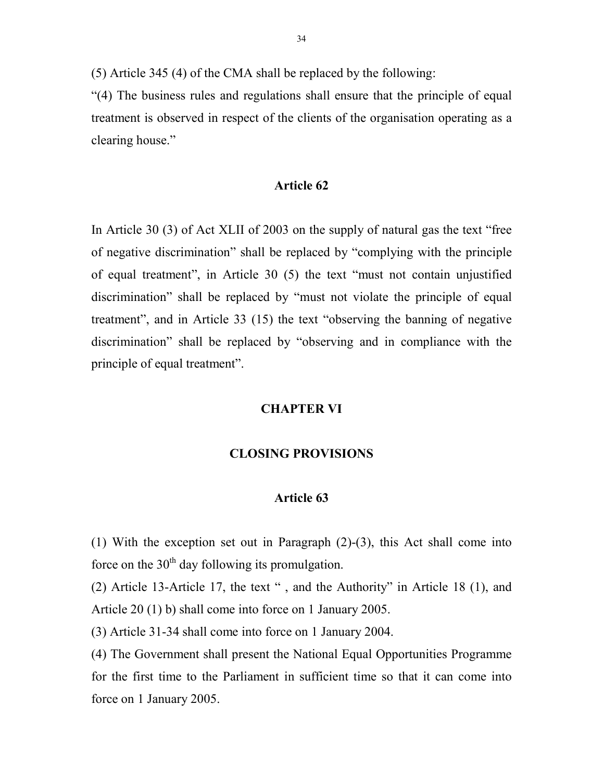(5) Article 345 (4) of the CMA shall be replaced by the following:

"(4) The business rules and regulations shall ensure that the principle of equal treatment is observed in respect of the clients of the organisation operating as a clearing house."

#### Article 62

In Article 30 (3) of Act XLII of 2003 on the supply of natural gas the text "free of negative discrimination" shall be replaced by "complying with the principle of equal treatment", in Article 30 (5) the text "must not contain unjustified discrimination" shall be replaced by "must not violate the principle of equal treatment", and in Article 33 (15) the text "observing the banning of negative discrimination" shall be replaced by "observing and in compliance with the principle of equal treatment".

## CHAPTER VI

## CLOSING PROVISIONS

#### Article 63

(1) With the exception set out in Paragraph (2)-(3), this Act shall come into force on the  $30<sup>th</sup>$  day following its promulgation.

(2) Article 13-Article 17, the text " , and the Authority" in Article 18 (1), and Article 20 (1) b) shall come into force on 1 January 2005.

(3) Article 31-34 shall come into force on 1 January 2004.

(4) The Government shall present the National Equal Opportunities Programme for the first time to the Parliament in sufficient time so that it can come into force on 1 January 2005.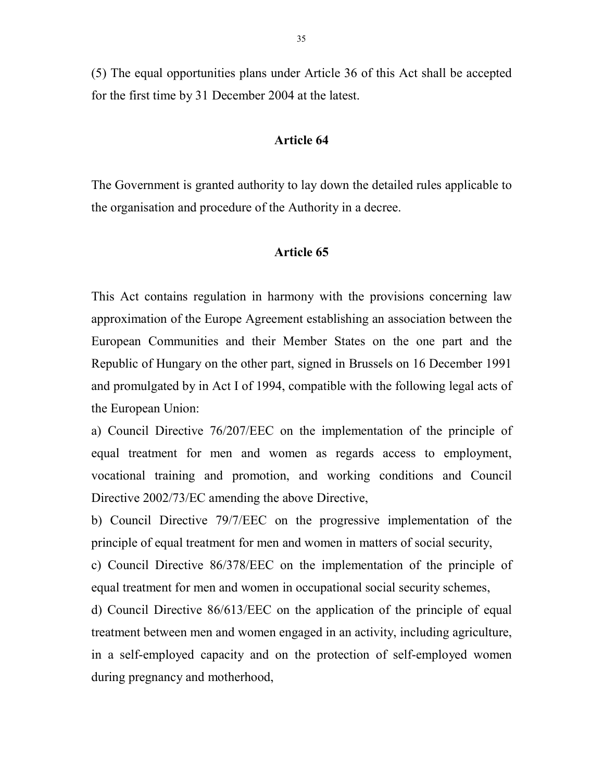(5) The equal opportunities plans under Article 36 of this Act shall be accepted for the first time by 31 December 2004 at the latest.

#### Article 64

The Government is granted authority to lay down the detailed rules applicable to the organisation and procedure of the Authority in a decree.

#### Article 65

This Act contains regulation in harmony with the provisions concerning law approximation of the Europe Agreement establishing an association between the European Communities and their Member States on the one part and the Republic of Hungary on the other part, signed in Brussels on 16 December 1991 and promulgated by in Act I of 1994, compatible with the following legal acts of the European Union:

a) Council Directive 76/207/EEC on the implementation of the principle of equal treatment for men and women as regards access to employment, vocational training and promotion, and working conditions and Council Directive 2002/73/EC amending the above Directive,

b) Council Directive 79/7/EEC on the progressive implementation of the principle of equal treatment for men and women in matters of social security,

c) Council Directive 86/378/EEC on the implementation of the principle of equal treatment for men and women in occupational social security schemes,

d) Council Directive 86/613/EEC on the application of the principle of equal treatment between men and women engaged in an activity, including agriculture, in a self-employed capacity and on the protection of self-employed women during pregnancy and motherhood,